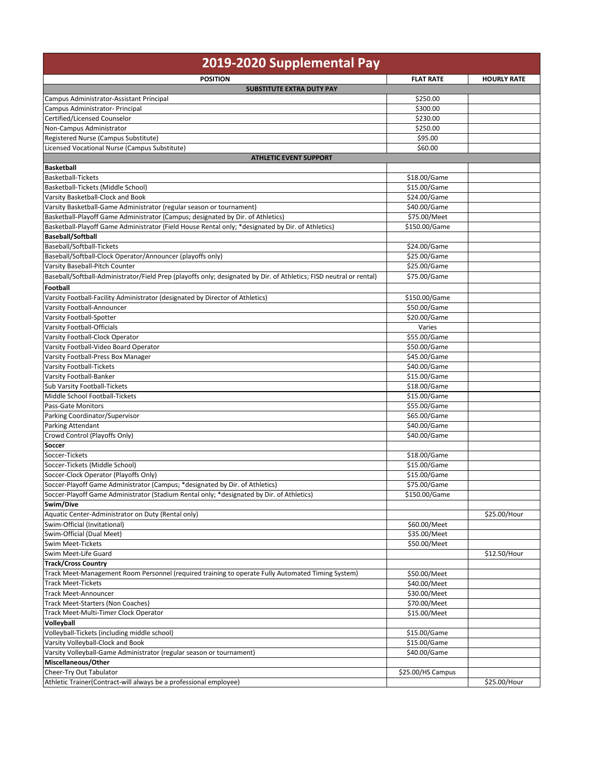| 2019-2020 Supplemental Pay                                                                                          |                              |                    |  |  |
|---------------------------------------------------------------------------------------------------------------------|------------------------------|--------------------|--|--|
| <b>POSITION</b>                                                                                                     | <b>FLAT RATE</b>             | <b>HOURLY RATE</b> |  |  |
| <b>SUBSTITUTE EXTRA DUTY PAY</b>                                                                                    |                              |                    |  |  |
| Campus Administrator-Assistant Principal                                                                            | \$250.00                     |                    |  |  |
| Campus Administrator- Principal                                                                                     | \$300.00                     |                    |  |  |
| Certified/Licensed Counselor<br>Non-Campus Administrator                                                            | \$230.00<br>\$250.00         |                    |  |  |
| Registered Nurse (Campus Substitute)                                                                                | \$95.00                      |                    |  |  |
| Licensed Vocational Nurse (Campus Substitute)                                                                       | \$60.00                      |                    |  |  |
| <b>ATHLETIC EVENT SUPPORT</b>                                                                                       |                              |                    |  |  |
| <b>Basketball</b>                                                                                                   |                              |                    |  |  |
| <b>Basketball-Tickets</b>                                                                                           | \$18.00/Game                 |                    |  |  |
| Basketball-Tickets (Middle School)                                                                                  | \$15.00/Game                 |                    |  |  |
| Varsity Basketball-Clock and Book                                                                                   | \$24.00/Game                 |                    |  |  |
| Varsity Basketball-Game Administrator (regular season or tournament)                                                | \$40.00/Game                 |                    |  |  |
| Basketball-Playoff Game Administrator (Campus; designated by Dir. of Athletics)                                     | \$75.00/Meet                 |                    |  |  |
| Basketball-Playoff Game Administrator (Field House Rental only; *designated by Dir. of Athletics)                   | \$150.00/Game                |                    |  |  |
| <b>Baseball/Softball</b>                                                                                            |                              |                    |  |  |
| Baseball/Softball-Tickets                                                                                           | \$24.00/Game                 |                    |  |  |
| Baseball/Softball-Clock Operator/Announcer (playoffs only)                                                          | \$25.00/Game                 |                    |  |  |
| Varsity Baseball-Pitch Counter                                                                                      | \$25.00/Game                 |                    |  |  |
| Baseball/Softball-Administrator/Field Prep (playoffs only; designated by Dir. of Athletics; FISD neutral or rental) | \$75.00/Game                 |                    |  |  |
| Football                                                                                                            |                              |                    |  |  |
| Varsity Football-Facility Administrator (designated by Director of Athletics)                                       | \$150.00/Game                |                    |  |  |
| Varsity Football-Announcer                                                                                          | \$50.00/Game                 |                    |  |  |
| Varsity Football-Spotter                                                                                            | \$20.00/Game                 |                    |  |  |
| Varsity Football-Officials                                                                                          | Varies                       |                    |  |  |
| Varsity Football-Clock Operator                                                                                     | \$55.00/Game                 |                    |  |  |
| Varsity Football-Video Board Operator<br>Varsity Football-Press Box Manager                                         | \$50.00/Game<br>\$45.00/Game |                    |  |  |
| Varsity Football-Tickets                                                                                            | \$40.00/Game                 |                    |  |  |
| Varsity Football-Banker                                                                                             | \$15.00/Game                 |                    |  |  |
| Sub Varsity Football-Tickets                                                                                        | \$18.00/Game                 |                    |  |  |
| Middle School Football-Tickets                                                                                      | \$15.00/Game                 |                    |  |  |
| Pass-Gate Monitors                                                                                                  | \$55.00/Game                 |                    |  |  |
| Parking Coordinator/Supervisor                                                                                      | \$65.00/Game                 |                    |  |  |
| Parking Attendant                                                                                                   | \$40.00/Game                 |                    |  |  |
| Crowd Control (Playoffs Only)                                                                                       | \$40.00/Game                 |                    |  |  |
| Soccer                                                                                                              |                              |                    |  |  |
| Soccer-Tickets                                                                                                      | \$18.00/Game                 |                    |  |  |
| Soccer-Tickets (Middle School)                                                                                      | \$15.00/Game                 |                    |  |  |
| Soccer-Clock Operator (Playoffs Only)                                                                               | \$15.00/Game                 |                    |  |  |
| Soccer-Playoff Game Administrator (Campus; *designated by Dir. of Athletics)                                        | \$75.00/Game                 |                    |  |  |
| Soccer-Playoff Game Administrator (Stadium Rental only; *designated by Dir. of Athletics)                           | \$150.00/Game                |                    |  |  |
| Swim/Dive                                                                                                           |                              |                    |  |  |
| Aquatic Center-Administrator on Duty (Rental only)                                                                  |                              | \$25.00/Hour       |  |  |
| Swim-Official (Invitational)                                                                                        | \$60.00/Meet                 |                    |  |  |
| Swim-Official (Dual Meet)                                                                                           | \$35.00/Meet                 |                    |  |  |
| Swim Meet-Tickets<br>Swim Meet-Life Guard                                                                           | \$50.00/Meet                 |                    |  |  |
| <b>Track/Cross Country</b>                                                                                          |                              | \$12.50/Hour       |  |  |
| Track Meet-Management Room Personnel (required training to operate Fully Automated Timing System)                   | \$50.00/Meet                 |                    |  |  |
| <b>Track Meet-Tickets</b>                                                                                           | \$40.00/Meet                 |                    |  |  |
| <b>Track Meet-Announcer</b>                                                                                         | \$30.00/Meet                 |                    |  |  |
| Track Meet-Starters (Non Coaches)                                                                                   | \$70.00/Meet                 |                    |  |  |
| Track Meet-Multi-Timer Clock Operator                                                                               | \$15.00/Meet                 |                    |  |  |
| Volleyball                                                                                                          |                              |                    |  |  |
| Volleyball-Tickets (including middle school)                                                                        | \$15.00/Game                 |                    |  |  |
| Varsity Volleyball-Clock and Book                                                                                   | \$15.00/Game                 |                    |  |  |
| Varsity Volleyball-Game Administrator (regular season or tournament)                                                | \$40.00/Game                 |                    |  |  |
| Miscellaneous/Other                                                                                                 |                              |                    |  |  |
| Cheer-Try Out Tabulator                                                                                             | \$25.00/HS Campus            |                    |  |  |
| Athletic Trainer(Contract-will always be a professional employee)                                                   |                              | \$25.00/Hour       |  |  |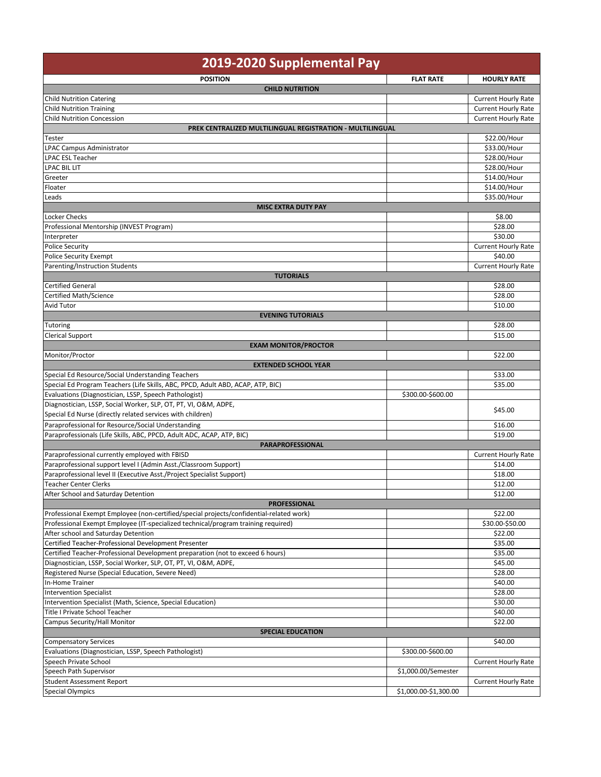| 2019-2020 Supplemental Pay                                                                       |                       |                              |  |  |
|--------------------------------------------------------------------------------------------------|-----------------------|------------------------------|--|--|
| <b>POSITION</b>                                                                                  | <b>FLAT RATE</b>      | <b>HOURLY RATE</b>           |  |  |
| <b>CHILD NUTRITION</b>                                                                           |                       |                              |  |  |
| <b>Child Nutrition Catering</b>                                                                  |                       | <b>Current Hourly Rate</b>   |  |  |
| <b>Child Nutrition Training</b>                                                                  |                       | <b>Current Hourly Rate</b>   |  |  |
| <b>Child Nutrition Concession</b>                                                                |                       | <b>Current Hourly Rate</b>   |  |  |
| PREK CENTRALIZED MULTILINGUAL REGISTRATION - MULTILINGUAL                                        |                       |                              |  |  |
| Tester<br><b>LPAC Campus Administrator</b>                                                       |                       | \$22.00/Hour<br>\$33.00/Hour |  |  |
| <b>LPAC ESL Teacher</b>                                                                          |                       | \$28.00/Hour                 |  |  |
| <b>LPAC BIL LIT</b>                                                                              |                       | \$28.00/Hour                 |  |  |
| Greeter                                                                                          |                       | \$14.00/Hour                 |  |  |
| Floater                                                                                          |                       | \$14.00/Hour                 |  |  |
| Leads                                                                                            |                       | \$35.00/Hour                 |  |  |
| <b>MISC EXTRA DUTY PAY</b>                                                                       |                       |                              |  |  |
| Locker Checks                                                                                    |                       | \$8.00                       |  |  |
| Professional Mentorship (INVEST Program)                                                         |                       | \$28.00                      |  |  |
| Interpreter                                                                                      |                       | \$30.00                      |  |  |
| <b>Police Security</b>                                                                           |                       | <b>Current Hourly Rate</b>   |  |  |
| <b>Police Security Exempt</b>                                                                    |                       | \$40.00                      |  |  |
| Parenting/Instruction Students                                                                   |                       | <b>Current Hourly Rate</b>   |  |  |
| <b>TUTORIALS</b><br><b>Certified General</b>                                                     |                       | \$28.00                      |  |  |
| <b>Certified Math/Science</b>                                                                    |                       | \$28.00                      |  |  |
| Avid Tutor                                                                                       |                       | \$10.00                      |  |  |
| <b>EVENING TUTORIALS</b>                                                                         |                       |                              |  |  |
| <b>Tutoring</b>                                                                                  |                       | \$28.00                      |  |  |
| <b>Clerical Support</b>                                                                          |                       | \$15.00                      |  |  |
| <b>EXAM MONITOR/PROCTOR</b>                                                                      |                       |                              |  |  |
| Monitor/Proctor                                                                                  |                       | \$22.00                      |  |  |
| <b>EXTENDED SCHOOL YEAR</b>                                                                      |                       |                              |  |  |
| Special Ed Resource/Social Understanding Teachers                                                |                       | \$33.00                      |  |  |
| Special Ed Program Teachers (Life Skills, ABC, PPCD, Adult ABD, ACAP, ATP, BIC)                  |                       | \$35.00                      |  |  |
| Evaluations (Diagnostician, LSSP, Speech Pathologist)                                            | \$300.00-\$600.00     |                              |  |  |
| Diagnostician, LSSP, Social Worker, SLP, OT, PT, VI, O&M, ADPE,                                  |                       | \$45.00                      |  |  |
| Special Ed Nurse (directly related services with children)                                       |                       |                              |  |  |
| Paraprofessional for Resource/Social Understanding                                               |                       | \$16.00                      |  |  |
| Paraprofessionals (Life Skills, ABC, PPCD, Adult ADC, ACAP, ATP, BIC)<br><b>PARAPROFESSIONAL</b> |                       | \$19.00                      |  |  |
| Paraprofessional currently employed with FBISD                                                   |                       | <b>Current Hourly Rate</b>   |  |  |
| Paraprofessional support level I (Admin Asst./Classroom Support)                                 |                       | \$14.00                      |  |  |
| Paraprofessional level II (Executive Asst./Project Specialist Support)                           |                       | \$18.00                      |  |  |
| <b>Teacher Center Clerks</b>                                                                     |                       | \$12.00                      |  |  |
| After School and Saturday Detention                                                              |                       | \$12.00                      |  |  |
| <b>PROFESSIONAL</b>                                                                              |                       |                              |  |  |
| Professional Exempt Employee (non-certified/special projects/confidential-related work)          |                       | \$22.00                      |  |  |
| Professional Exempt Employee (IT-specialized technical/program training required)                |                       | \$30.00-\$50.00              |  |  |
| After school and Saturday Detention                                                              |                       | \$22.00                      |  |  |
| Certified Teacher-Professional Development Presenter                                             |                       | \$35.00                      |  |  |
| Certified Teacher-Professional Development preparation (not to exceed 6 hours)                   |                       | \$35.00                      |  |  |
| Diagnostician, LSSP, Social Worker, SLP, OT, PT, VI, O&M, ADPE,                                  |                       | \$45.00                      |  |  |
| Registered Nurse (Special Education, Severe Need)<br>In-Home Trainer                             |                       | \$28.00                      |  |  |
| <b>Intervention Specialist</b>                                                                   |                       | \$40.00<br>\$28.00           |  |  |
| Intervention Specialist (Math, Science, Special Education)                                       |                       | \$30.00                      |  |  |
| Title I Private School Teacher                                                                   |                       | \$40.00                      |  |  |
| Campus Security/Hall Monitor                                                                     |                       | \$22.00                      |  |  |
| <b>SPECIAL EDUCATION</b>                                                                         |                       |                              |  |  |
| <b>Compensatory Services</b>                                                                     |                       | \$40.00                      |  |  |
| Evaluations (Diagnostician, LSSP, Speech Pathologist)                                            | \$300.00-\$600.00     |                              |  |  |
| Speech Private School                                                                            |                       | <b>Current Hourly Rate</b>   |  |  |
| Speech Path Supervisor                                                                           | \$1,000.00/Semester   |                              |  |  |
| <b>Student Assessment Report</b>                                                                 |                       | <b>Current Hourly Rate</b>   |  |  |
| <b>Special Olympics</b>                                                                          | \$1,000.00-\$1,300.00 |                              |  |  |